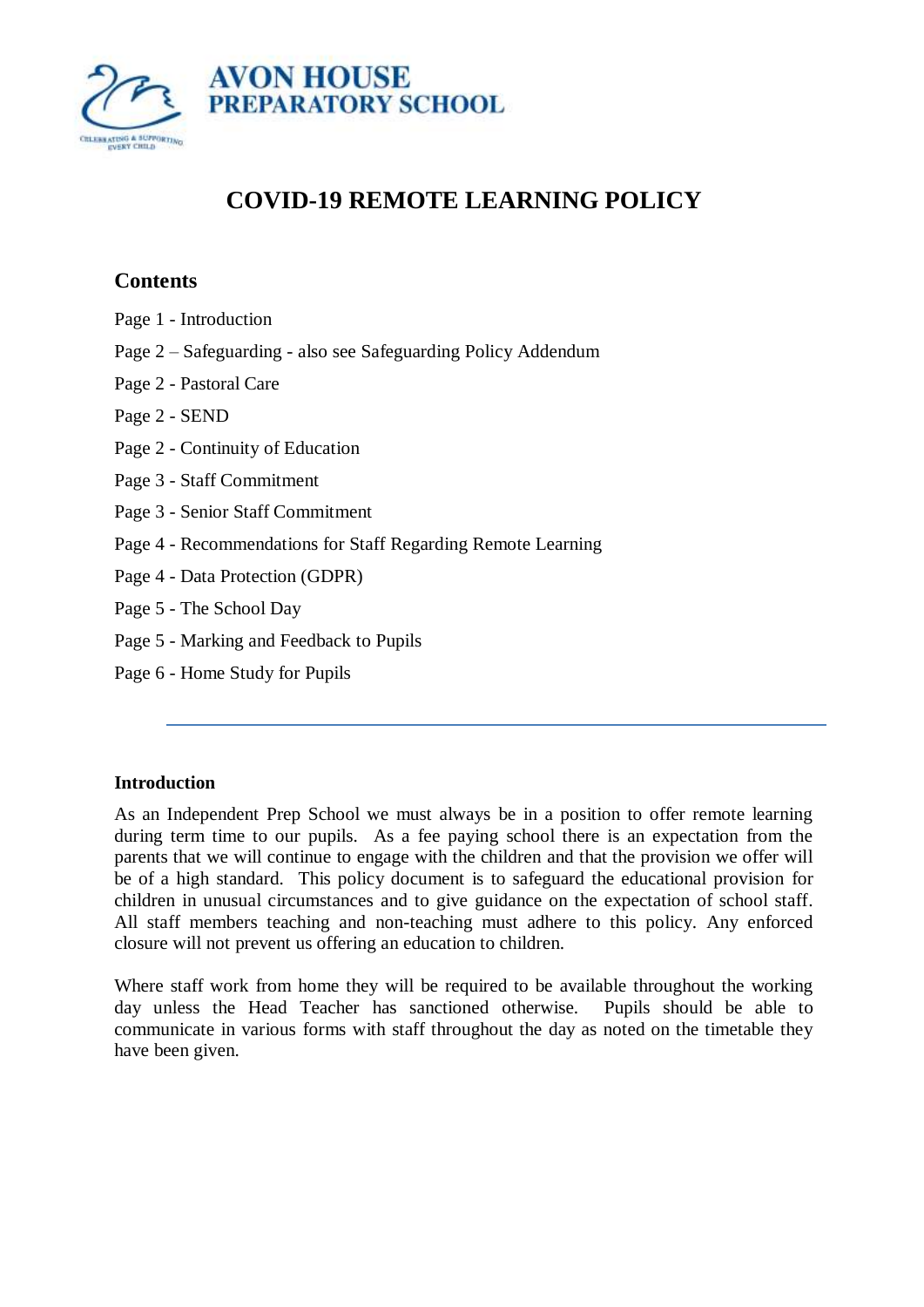

# **COVID-19 REMOTE LEARNING POLICY**

## **Contents**

- Page 1 Introduction
- Page 2 Safeguarding also see Safeguarding Policy Addendum
- Page 2 Pastoral Care
- Page 2 SEND
- Page 2 Continuity of Education
- Page 3 Staff Commitment
- Page 3 Senior Staff Commitment
- Page 4 Recommendations for Staff Regarding Remote Learning
- Page 4 Data Protection (GDPR)
- Page 5 The School Day
- Page 5 Marking and Feedback to Pupils
- Page 6 Home Study for Pupils

## **Introduction**

As an Independent Prep School we must always be in a position to offer remote learning during term time to our pupils. As a fee paying school there is an expectation from the parents that we will continue to engage with the children and that the provision we offer will be of a high standard. This policy document is to safeguard the educational provision for children in unusual circumstances and to give guidance on the expectation of school staff. All staff members teaching and non-teaching must adhere to this policy. Any enforced closure will not prevent us offering an education to children.

Where staff work from home they will be required to be available throughout the working day unless the Head Teacher has sanctioned otherwise. Pupils should be able to communicate in various forms with staff throughout the day as noted on the timetable they have been given.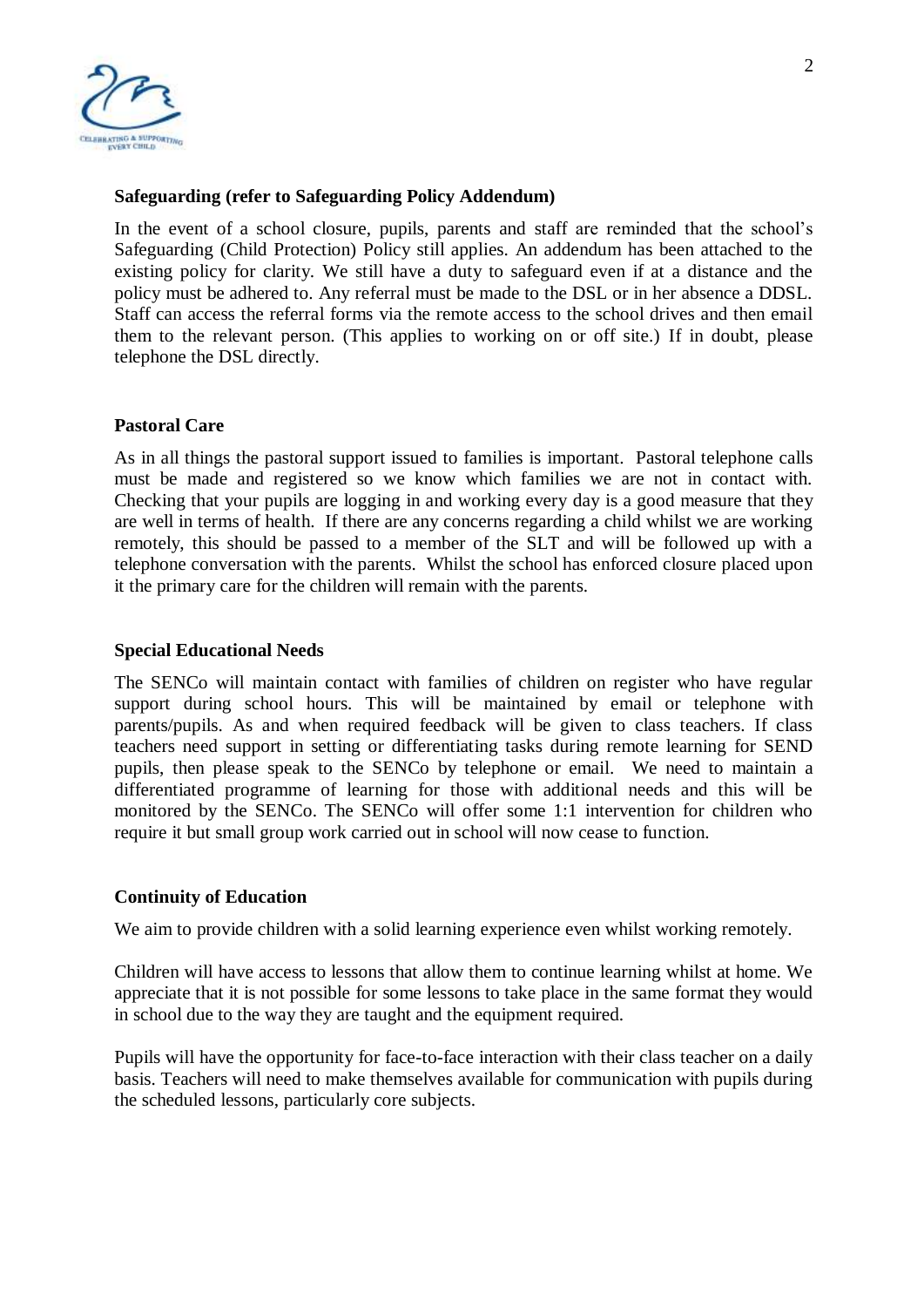

#### **Safeguarding (refer to Safeguarding Policy Addendum)**

In the event of a school closure, pupils, parents and staff are reminded that the school's Safeguarding (Child Protection) Policy still applies. An addendum has been attached to the existing policy for clarity. We still have a duty to safeguard even if at a distance and the policy must be adhered to. Any referral must be made to the DSL or in her absence a DDSL. Staff can access the referral forms via the remote access to the school drives and then email them to the relevant person. (This applies to working on or off site.) If in doubt, please telephone the DSL directly.

#### **Pastoral Care**

As in all things the pastoral support issued to families is important. Pastoral telephone calls must be made and registered so we know which families we are not in contact with. Checking that your pupils are logging in and working every day is a good measure that they are well in terms of health. If there are any concerns regarding a child whilst we are working remotely, this should be passed to a member of the SLT and will be followed up with a telephone conversation with the parents. Whilst the school has enforced closure placed upon it the primary care for the children will remain with the parents.

#### **Special Educational Needs**

The SENCo will maintain contact with families of children on register who have regular support during school hours. This will be maintained by email or telephone with parents/pupils. As and when required feedback will be given to class teachers. If class teachers need support in setting or differentiating tasks during remote learning for SEND pupils, then please speak to the SENCo by telephone or email. We need to maintain a differentiated programme of learning for those with additional needs and this will be monitored by the SENCo. The SENCo will offer some 1:1 intervention for children who require it but small group work carried out in school will now cease to function.

#### **Continuity of Education**

We aim to provide children with a solid learning experience even whilst working remotely.

Children will have access to lessons that allow them to continue learning whilst at home. We appreciate that it is not possible for some lessons to take place in the same format they would in school due to the way they are taught and the equipment required.

Pupils will have the opportunity for face-to-face interaction with their class teacher on a daily basis. Teachers will need to make themselves available for communication with pupils during the scheduled lessons, particularly core subjects.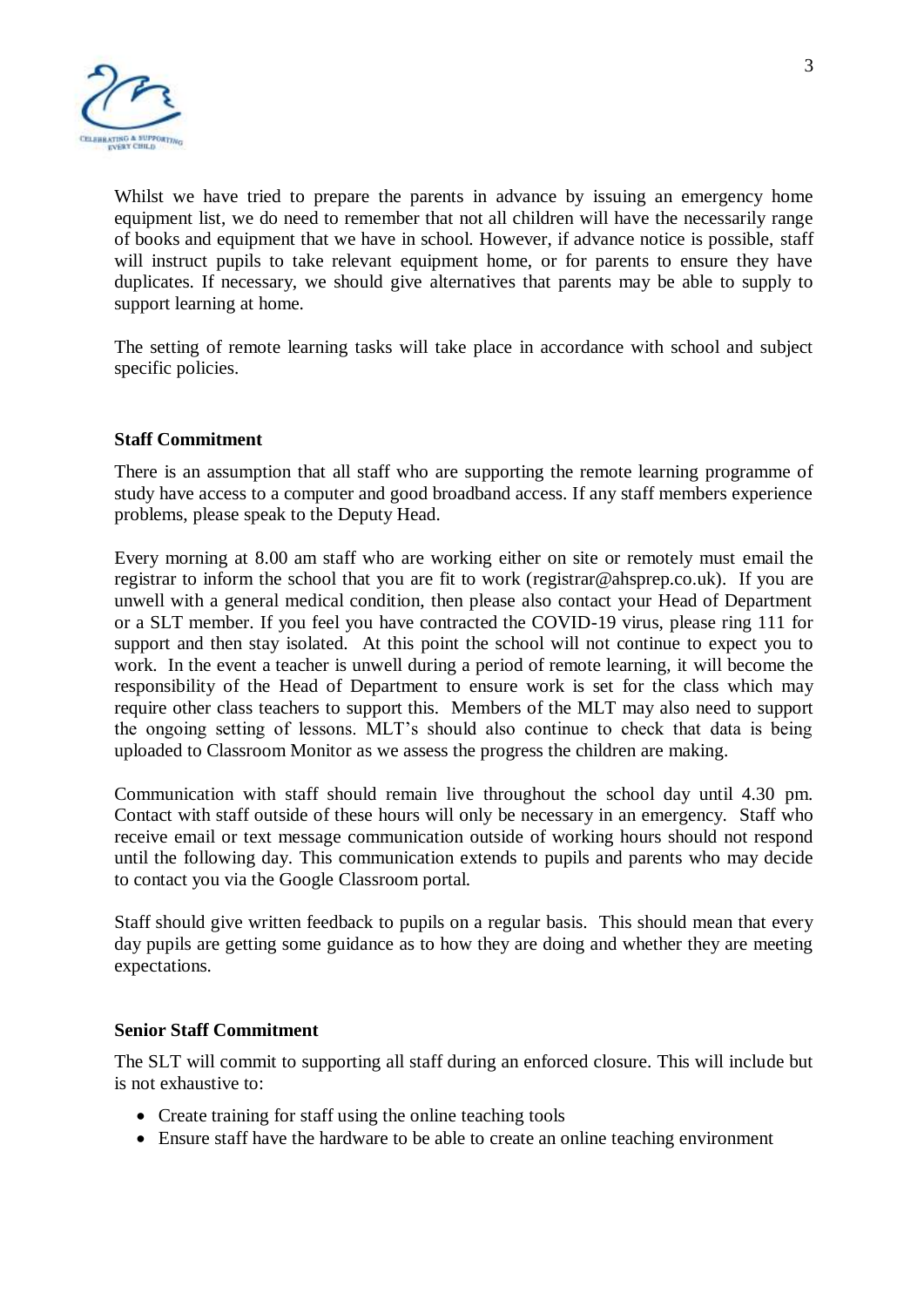

Whilst we have tried to prepare the parents in advance by issuing an emergency home equipment list, we do need to remember that not all children will have the necessarily range of books and equipment that we have in school. However, if advance notice is possible, staff will instruct pupils to take relevant equipment home, or for parents to ensure they have duplicates. If necessary, we should give alternatives that parents may be able to supply to support learning at home.

The setting of remote learning tasks will take place in accordance with school and subject specific policies.

#### **Staff Commitment**

There is an assumption that all staff who are supporting the remote learning programme of study have access to a computer and good broadband access. If any staff members experience problems, please speak to the Deputy Head.

Every morning at 8.00 am staff who are working either on site or remotely must email the registrar to inform the school that you are fit to work (registrar@ahsprep.co.uk). If you are unwell with a general medical condition, then please also contact your Head of Department or a SLT member. If you feel you have contracted the COVID-19 virus, please ring 111 for support and then stay isolated. At this point the school will not continue to expect you to work. In the event a teacher is unwell during a period of remote learning, it will become the responsibility of the Head of Department to ensure work is set for the class which may require other class teachers to support this. Members of the MLT may also need to support the ongoing setting of lessons. MLT's should also continue to check that data is being uploaded to Classroom Monitor as we assess the progress the children are making.

Communication with staff should remain live throughout the school day until 4.30 pm. Contact with staff outside of these hours will only be necessary in an emergency. Staff who receive email or text message communication outside of working hours should not respond until the following day. This communication extends to pupils and parents who may decide to contact you via the Google Classroom portal.

Staff should give written feedback to pupils on a regular basis. This should mean that every day pupils are getting some guidance as to how they are doing and whether they are meeting expectations.

#### **Senior Staff Commitment**

The SLT will commit to supporting all staff during an enforced closure. This will include but is not exhaustive to:

- Create training for staff using the online teaching tools
- Ensure staff have the hardware to be able to create an online teaching environment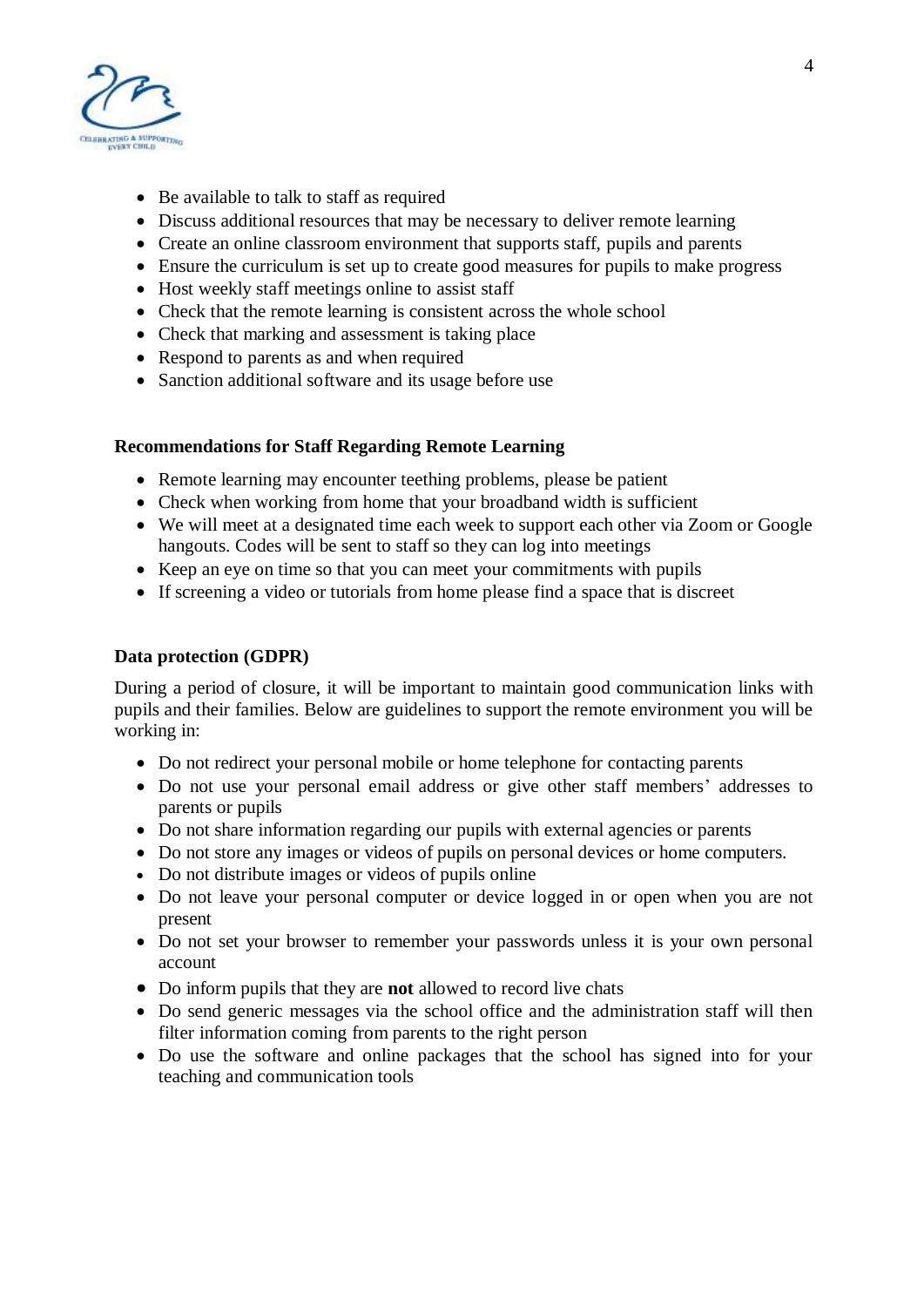

- Be available to talk to staff as required
- Discuss additional resources that may be necessary to deliver remote learning
- Create an online classroom environment that supports staff, pupils and parents
- Ensure the curriculum is set up to create good measures for pupils to make progress
- Host weekly staff meetings online to assist staff
- Check that the remote learning is consistent across the whole school
- Check that marking and assessment is taking place
- Respond to parents as and when required
- Sanction additional software and its usage before use

## **Recommendations for Staff Regarding Remote Learning**

- Remote learning may encounter teething problems, please be patient
- Check when working from home that your broadband width is sufficient
- We will meet at a designated time each week to support each other via Zoom or Google hangouts. Codes will be sent to staff so they can log into meetings
- Keep an eye on time so that you can meet your commitments with pupils
- If screening a video or tutorials from home please find a space that is discreet

### **Data protection (GDPR)**

During a period of closure, it will be important to maintain good communication links with pupils and their families. Below are guidelines to support the remote environment you will be working in:

- Do not redirect your personal mobile or home telephone for contacting parents
- Do not use your personal email address or give other staff members' addresses to parents or pupils
- Do not share information regarding our pupils with external agencies or parents
- Do not store any images or videos of pupils on personal devices or home computers.
- Do not distribute images or videos of pupils online
- Do not leave your personal computer or device logged in or open when you are not present
- Do not set your browser to remember your passwords unless it is your own personal account
- Do inform pupils that they are **not** allowed to record live chats
- Do send generic messages via the school office and the administration staff will then filter information coming from parents to the right person
- Do use the software and online packages that the school has signed into for your teaching and communication tools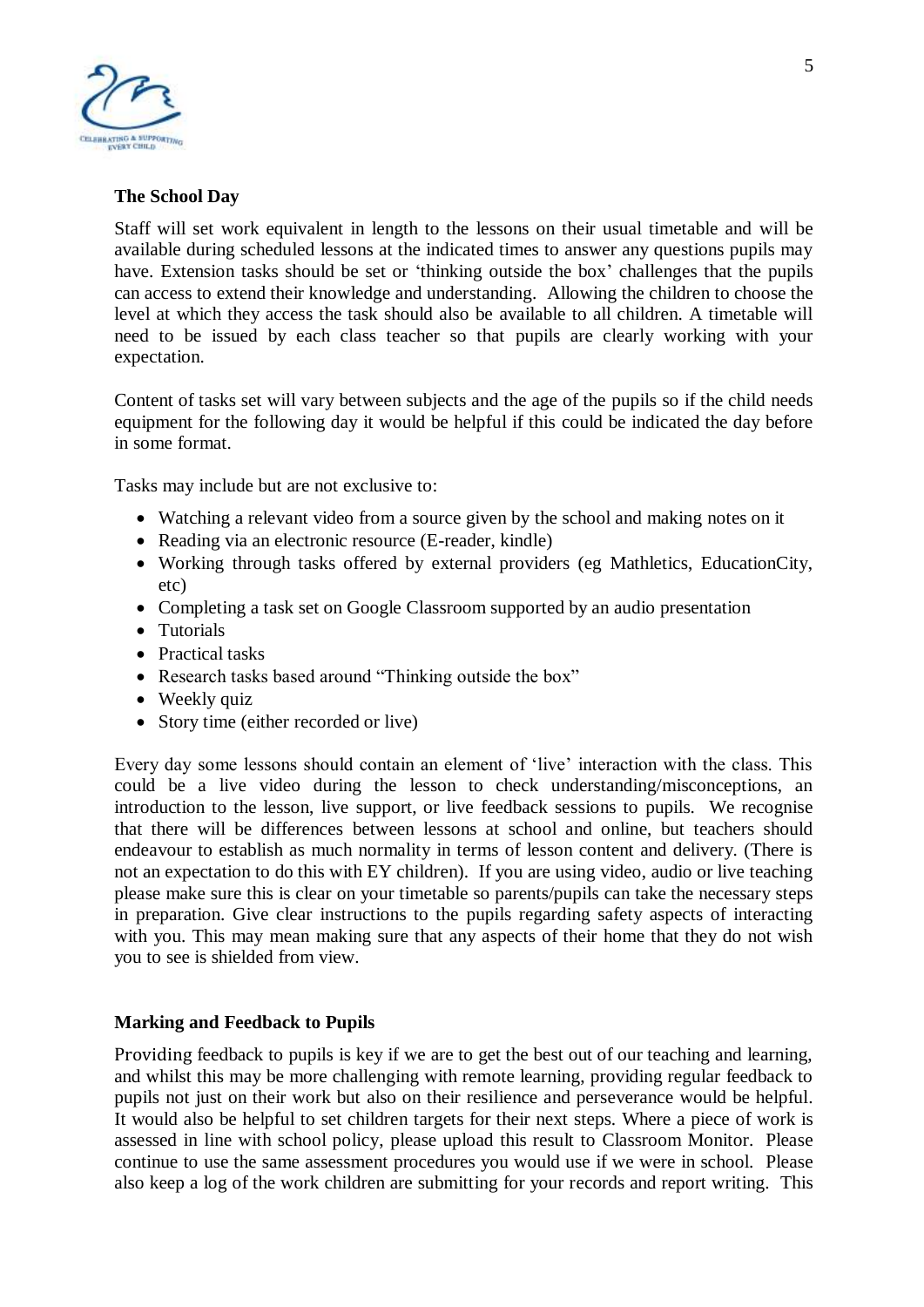

### **The School Day**

Staff will set work equivalent in length to the lessons on their usual timetable and will be available during scheduled lessons at the indicated times to answer any questions pupils may have. Extension tasks should be set or 'thinking outside the box' challenges that the pupils can access to extend their knowledge and understanding. Allowing the children to choose the level at which they access the task should also be available to all children. A timetable will need to be issued by each class teacher so that pupils are clearly working with your expectation.

Content of tasks set will vary between subjects and the age of the pupils so if the child needs equipment for the following day it would be helpful if this could be indicated the day before in some format.

Tasks may include but are not exclusive to:

- Watching a relevant video from a source given by the school and making notes on it
- Reading via an electronic resource (E-reader, kindle)
- Working through tasks offered by external providers (eg Mathletics, EducationCity, etc)
- Completing a task set on Google Classroom supported by an audio presentation
- Tutorials
- Practical tasks
- Research tasks based around "Thinking outside the box"
- Weekly quiz
- Story time (either recorded or live)

Every day some lessons should contain an element of 'live' interaction with the class. This could be a live video during the lesson to check understanding/misconceptions, an introduction to the lesson, live support, or live feedback sessions to pupils. We recognise that there will be differences between lessons at school and online, but teachers should endeavour to establish as much normality in terms of lesson content and delivery. (There is not an expectation to do this with EY children). If you are using video, audio or live teaching please make sure this is clear on your timetable so parents/pupils can take the necessary steps in preparation. Give clear instructions to the pupils regarding safety aspects of interacting with you. This may mean making sure that any aspects of their home that they do not wish you to see is shielded from view.

#### **Marking and Feedback to Pupils**

Providing feedback to pupils is key if we are to get the best out of our teaching and learning, and whilst this may be more challenging with remote learning, providing regular feedback to pupils not just on their work but also on their resilience and perseverance would be helpful. It would also be helpful to set children targets for their next steps. Where a piece of work is assessed in line with school policy, please upload this result to Classroom Monitor. Please continue to use the same assessment procedures you would use if we were in school. Please also keep a log of the work children are submitting for your records and report writing. This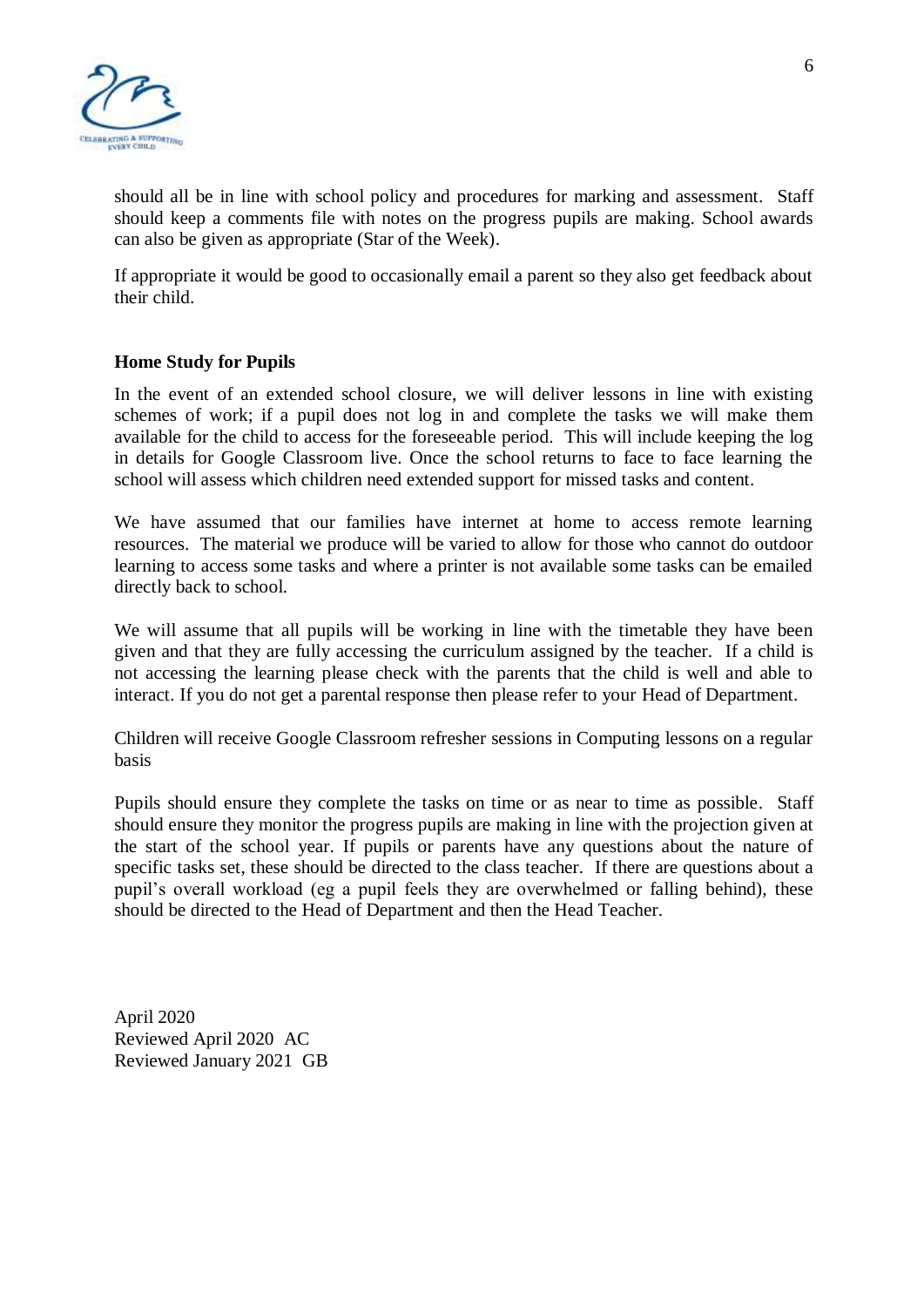

should all be in line with school policy and procedures for marking and assessment. Staff should keep a comments file with notes on the progress pupils are making. School awards can also be given as appropriate (Star of the Week).

If appropriate it would be good to occasionally email a parent so they also get feedback about their child.

#### **Home Study for Pupils**

In the event of an extended school closure, we will deliver lessons in line with existing schemes of work; if a pupil does not log in and complete the tasks we will make them available for the child to access for the foreseeable period. This will include keeping the log in details for Google Classroom live. Once the school returns to face to face learning the school will assess which children need extended support for missed tasks and content.

We have assumed that our families have internet at home to access remote learning resources. The material we produce will be varied to allow for those who cannot do outdoor learning to access some tasks and where a printer is not available some tasks can be emailed directly back to school.

We will assume that all pupils will be working in line with the timetable they have been given and that they are fully accessing the curriculum assigned by the teacher. If a child is not accessing the learning please check with the parents that the child is well and able to interact. If you do not get a parental response then please refer to your Head of Department.

Children will receive Google Classroom refresher sessions in Computing lessons on a regular basis

Pupils should ensure they complete the tasks on time or as near to time as possible. Staff should ensure they monitor the progress pupils are making in line with the projection given at the start of the school year. If pupils or parents have any questions about the nature of specific tasks set, these should be directed to the class teacher. If there are questions about a pupil's overall workload (eg a pupil feels they are overwhelmed or falling behind), these should be directed to the Head of Department and then the Head Teacher.

April 2020 Reviewed April 2020 AC Reviewed January 2021 GB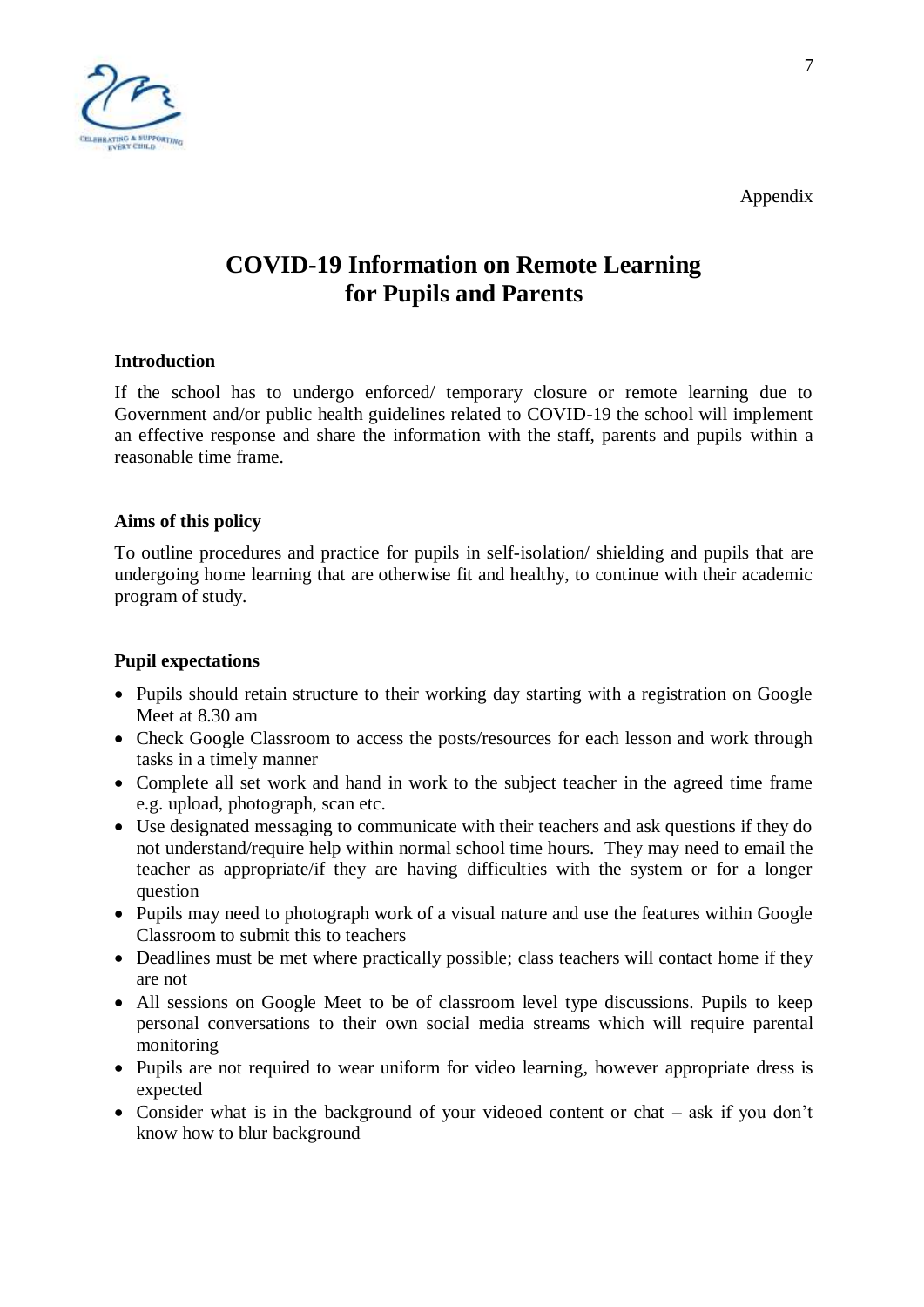



# **COVID-19 Information on Remote Learning for Pupils and Parents**

#### **Introduction**

If the school has to undergo enforced/ temporary closure or remote learning due to Government and/or public health guidelines related to COVID-19 the school will implement an effective response and share the information with the staff, parents and pupils within a reasonable time frame.

## **Aims of this policy**

To outline procedures and practice for pupils in self-isolation/ shielding and pupils that are undergoing home learning that are otherwise fit and healthy, to continue with their academic program of study.

## **Pupil expectations**

- Pupils should retain structure to their working day starting with a registration on Google Meet at 8.30 am
- Check Google Classroom to access the posts/resources for each lesson and work through tasks in a timely manner
- Complete all set work and hand in work to the subject teacher in the agreed time frame e.g. upload, photograph, scan etc.
- Use designated messaging to communicate with their teachers and ask questions if they do not understand/require help within normal school time hours. They may need to email the teacher as appropriate/if they are having difficulties with the system or for a longer question
- Pupils may need to photograph work of a visual nature and use the features within Google Classroom to submit this to teachers
- Deadlines must be met where practically possible; class teachers will contact home if they are not
- All sessions on Google Meet to be of classroom level type discussions. Pupils to keep personal conversations to their own social media streams which will require parental monitoring
- Pupils are not required to wear uniform for video learning, however appropriate dress is expected
- Consider what is in the background of your videoed content or chat ask if you don't know how to blur background